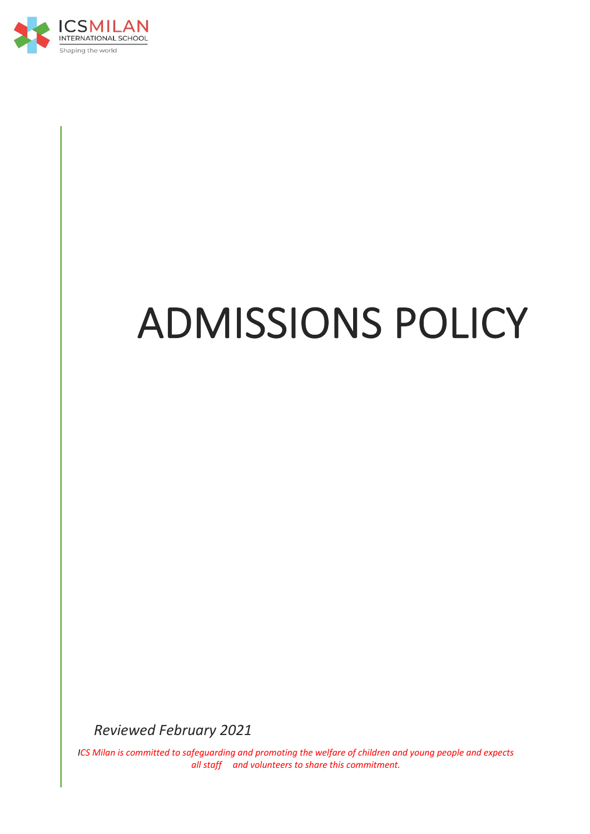

# ADMISSIONS POLICY

*Reviewed February 2021*

*ICS Milan is committed to safeguarding and promoting the welfare of children and young people and expects all staff and volunteers to share this commitment.*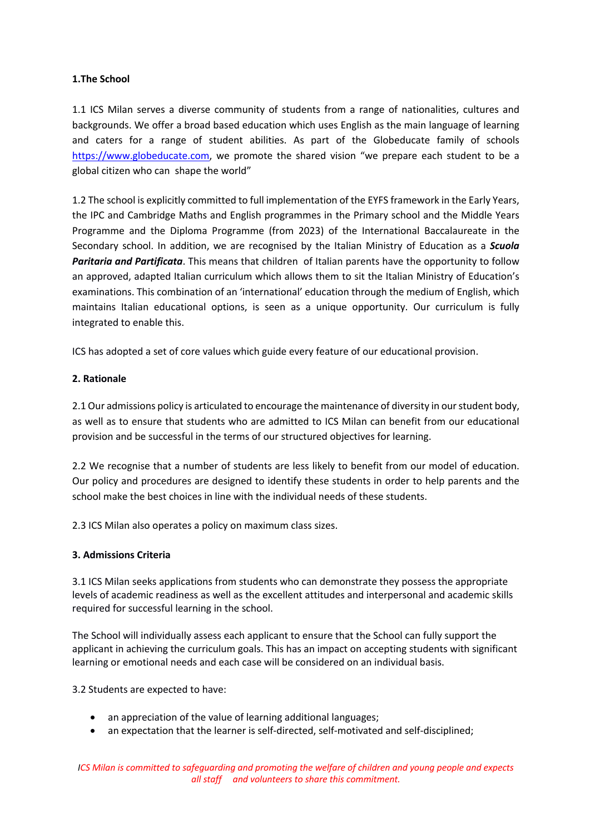## **1.The School**

1.1 ICS Milan serves a diverse community of students from a range of nationalities, cultures and backgrounds. We offer a broad based education which uses English as the main language of learning and caters for a range of student abilities. As part of the Globeducate family of schools https://www.globeducate.com, we promote the shared vision "we prepare each student to be a global citizen who can shape the world"

1.2 The school is explicitly committed to full implementation of the EYFS framework in the Early Years, the IPC and Cambridge Maths and English programmes in the Primary school and the Middle Years Programme and the Diploma Programme (from 2023) of the International Baccalaureate in the Secondary school. In addition, we are recognised by the Italian Ministry of Education as a *Scuola Paritaria and Partificata*. This means that children of Italian parents have the opportunity to follow an approved, adapted Italian curriculum which allows them to sit the Italian Ministry of Education's examinations. This combination of an 'international' education through the medium of English, which maintains Italian educational options, is seen as a unique opportunity. Our curriculum is fully integrated to enable this.

ICS has adopted a set of core values which guide every feature of our educational provision.

## **2. Rationale**

2.1 Our admissions policy is articulated to encourage the maintenance of diversity in our student body, as well as to ensure that students who are admitted to ICS Milan can benefit from our educational provision and be successful in the terms of our structured objectives for learning.

2.2 We recognise that a number of students are less likely to benefit from our model of education. Our policy and procedures are designed to identify these students in order to help parents and the school make the best choices in line with the individual needs of these students.

2.3 ICS Milan also operates a policy on maximum class sizes.

# **3. Admissions Criteria**

3.1 ICS Milan seeks applications from students who can demonstrate they possess the appropriate levels of academic readiness as well as the excellent attitudes and interpersonal and academic skills required for successful learning in the school.

The School will individually assess each applicant to ensure that the School can fully support the applicant in achieving the curriculum goals. This has an impact on accepting students with significant learning or emotional needs and each case will be considered on an individual basis.

3.2 Students are expected to have:

- an appreciation of the value of learning additional languages;
- an expectation that the learner is self-directed, self-motivated and self-disciplined;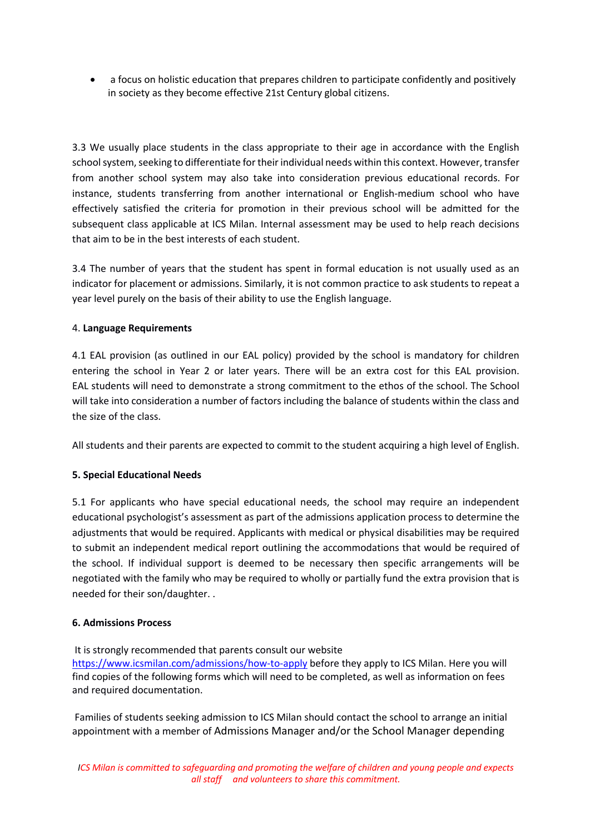• a focus on holistic education that prepares children to participate confidently and positively in society as they become effective 21st Century global citizens.

3.3 We usually place students in the class appropriate to their age in accordance with the English school system, seeking to differentiate for their individual needs within this context. However, transfer from another school system may also take into consideration previous educational records. For instance, students transferring from another international or English-medium school who have effectively satisfied the criteria for promotion in their previous school will be admitted for the subsequent class applicable at ICS Milan. Internal assessment may be used to help reach decisions that aim to be in the best interests of each student.

3.4 The number of years that the student has spent in formal education is not usually used as an indicator for placement or admissions. Similarly, it is not common practice to ask students to repeat a year level purely on the basis of their ability to use the English language.

## 4. **Language Requirements**

4.1 EAL provision (as outlined in our EAL policy) provided by the school is mandatory for children entering the school in Year 2 or later years. There will be an extra cost for this EAL provision. EAL students will need to demonstrate a strong commitment to the ethos of the school. The School will take into consideration a number of factors including the balance of students within the class and the size of the class.

All students and their parents are expected to commit to the student acquiring a high level of English.

## **5. Special Educational Needs**

5.1 For applicants who have special educational needs, the school may require an independent educational psychologist's assessment as part of the admissions application process to determine the adjustments that would be required. Applicants with medical or physical disabilities may be required to submit an independent medical report outlining the accommodations that would be required of the school. If individual support is deemed to be necessary then specific arrangements will be negotiated with the family who may be required to wholly or partially fund the extra provision that is needed for their son/daughter. .

#### **6. Admissions Process**

It is strongly recommended that parents consult our website

https://www.icsmilan.com/admissions/how-to-apply before they apply to ICS Milan. Here you will find copies of the following forms which will need to be completed, as well as information on fees and required documentation.

Families of students seeking admission to ICS Milan should contact the school to arrange an initial appointment with a member of Admissions Manager and/or the School Manager depending